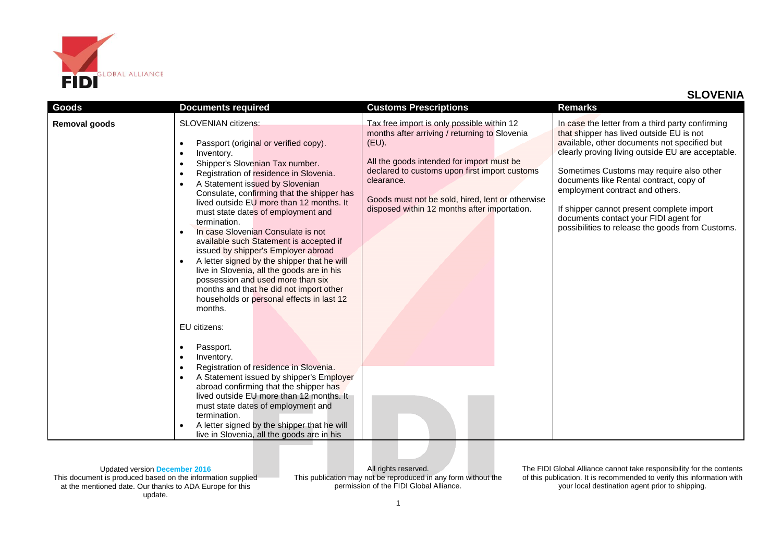

| Goods         | <b>Documents required</b>                                                                                                                                                                                                                                                                                                                                                                                                                                                                                                                                                                                                                                                                                                                                                                                                                                                                                                                                                                                                                                                                                                                                                                                                               | <b>Customs Prescriptions</b>                                                                                                                                                                                                                                                                                         | <b>Remarks</b>                                                                                                                                                                                                                                                                                                                                                                                                                                                        |
|---------------|-----------------------------------------------------------------------------------------------------------------------------------------------------------------------------------------------------------------------------------------------------------------------------------------------------------------------------------------------------------------------------------------------------------------------------------------------------------------------------------------------------------------------------------------------------------------------------------------------------------------------------------------------------------------------------------------------------------------------------------------------------------------------------------------------------------------------------------------------------------------------------------------------------------------------------------------------------------------------------------------------------------------------------------------------------------------------------------------------------------------------------------------------------------------------------------------------------------------------------------------|----------------------------------------------------------------------------------------------------------------------------------------------------------------------------------------------------------------------------------------------------------------------------------------------------------------------|-----------------------------------------------------------------------------------------------------------------------------------------------------------------------------------------------------------------------------------------------------------------------------------------------------------------------------------------------------------------------------------------------------------------------------------------------------------------------|
| Removal goods | <b>SLOVENIAN citizens:</b><br>Passport (original or verified copy).<br>$\bullet$<br>Inventory.<br>$\bullet$<br>Shipper's Slovenian Tax number.<br>$\bullet$<br>Registration of residence in Slovenia.<br>$\bullet$<br>A Statement issued by Slovenian<br>$\bullet$<br>Consulate, confirming that the shipper has<br>lived outside EU more than 12 months. It<br>must state dates of employment and<br>termination.<br>In case Slovenian Consulate is not<br>$\bullet$<br>available such Statement is accepted if<br>issued by shipper's Employer abroad<br>A letter signed by the shipper that he will<br>$\bullet$<br>live in Slovenia, all the goods are in his<br>possession and used more than six<br>months and that he did not import other<br>households or personal effects in last 12<br>months.<br>EU citizens:<br>Passport.<br>$\bullet$<br>Inventory.<br>$\bullet$<br>Registration of residence in Slovenia.<br>$\bullet$<br>A Statement issued by shipper's Employer<br>$\bullet$<br>abroad confirming that the shipper has<br>lived outside EU more than 12 months. It<br>must state dates of employment and<br>termination.<br>A letter signed by the shipper that he will<br>live in Slovenia, all the goods are in his | Tax free import is only possible within 12<br>months after arriving / returning to Slovenia<br>(EU).<br>All the goods intended for import must be<br>declared to customs upon first import customs<br>clearance.<br>Goods must not be sold, hired, lent or otherwise<br>disposed within 12 months after importation. | In case the letter from a third party confirming<br>that shipper has lived outside EU is not<br>available, other documents not specified but<br>clearly proving living outside EU are acceptable.<br>Sometimes Customs may require also other<br>documents like Rental contract, copy of<br>employment contract and others.<br>If shipper cannot present complete import<br>documents contact your FIDI agent for<br>possibilities to release the goods from Customs. |

Updated version **December 2016** This document is produced based on the information supplied at the mentioned date. Our thanks to ADA Europe for this update.

All rights reserved. This publication may not be reproduced in any form without the permission of the FIDI Global Alliance.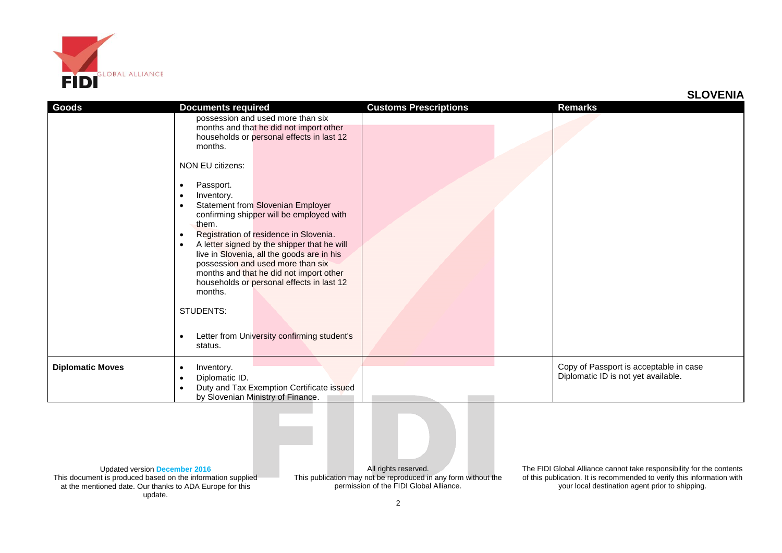

| <b>Goods</b>            | <b>Documents required</b>                                                                                                                                                                                                                                                                                                                                                                                                                                                                                                                                                                                                                                                                                     | <b>Customs Prescriptions</b> | <b>Remarks</b>                                                                |
|-------------------------|---------------------------------------------------------------------------------------------------------------------------------------------------------------------------------------------------------------------------------------------------------------------------------------------------------------------------------------------------------------------------------------------------------------------------------------------------------------------------------------------------------------------------------------------------------------------------------------------------------------------------------------------------------------------------------------------------------------|------------------------------|-------------------------------------------------------------------------------|
|                         | possession and used more than six<br>months and that he did not import other<br>households or personal effects in last 12<br>months.<br>NON EU citizens:<br>Passport.<br>$\bullet$<br>Inventory.<br>$\bullet$<br><b>Statement from Slovenian Employer</b><br>$\bullet$<br>confirming shipper will be employed with<br>them.<br>Registration of residence in Slovenia.<br>$\bullet$<br>A letter signed by the shipper that he will<br>$\bullet$<br>live in Slovenia, all the goods are in his<br>possession and used more than six<br>months and that he did not import other<br>households or personal effects in last 12<br>months.<br>STUDENTS:<br>Letter from University confirming student's<br>$\bullet$ |                              |                                                                               |
|                         | status.                                                                                                                                                                                                                                                                                                                                                                                                                                                                                                                                                                                                                                                                                                       |                              |                                                                               |
| <b>Diplomatic Moves</b> | Inventory.<br>$\bullet$<br>Diplomatic ID.<br>$\bullet$<br>Duty and Tax Exemption Certificate issued<br>$\bullet$<br>by Slovenian Ministry of Finance.                                                                                                                                                                                                                                                                                                                                                                                                                                                                                                                                                         |                              | Copy of Passport is acceptable in case<br>Diplomatic ID is not yet available. |

Updated version **December 2016** This document is produced based on the information supplied at the mentioned date. Our thanks to ADA Europe for this update.

All rights reserved. This publication may not be reproduced in any form without the permission of the FIDI Global Alliance.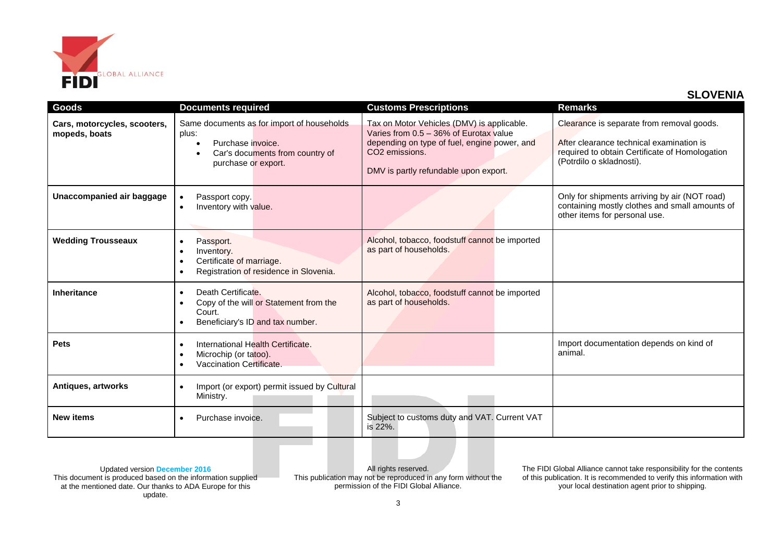

| Goods                                         | <b>Documents required</b>                                                                                                                         | <b>Customs Prescriptions</b>                                                                                                                                                                                | <b>Remarks</b>                                                                                                                                                      |
|-----------------------------------------------|---------------------------------------------------------------------------------------------------------------------------------------------------|-------------------------------------------------------------------------------------------------------------------------------------------------------------------------------------------------------------|---------------------------------------------------------------------------------------------------------------------------------------------------------------------|
| Cars, motorcycles, scooters,<br>mopeds, boats | Same documents as for import of households<br>plus:<br>Purchase invoice.<br>Car's documents from country of<br>purchase or export.                | Tax on Motor Vehicles (DMV) is applicable.<br>Varies from 0.5 - 36% of Eurotax value<br>depending on type of fuel, engine power, and<br>CO <sub>2</sub> emissions.<br>DMV is partly refundable upon export. | Clearance is separate from removal goods.<br>After clearance technical examination is<br>required to obtain Certificate of Homologation<br>(Potrdilo o skladnosti). |
| Unaccompanied air baggage                     | Passport copy.<br>$\bullet$<br>Inventory with value.<br>$\bullet$                                                                                 |                                                                                                                                                                                                             | Only for shipments arriving by air (NOT road)<br>containing mostly clothes and small amounts of<br>other items for personal use.                                    |
| <b>Wedding Trousseaux</b>                     | Passport.<br>$\bullet$<br>Inventory.<br>$\bullet$<br>Certificate of marriage.<br>$\bullet$<br>Registration of residence in Slovenia.<br>$\bullet$ | Alcohol, tobacco, foodstuff cannot be imported<br>as part of households.                                                                                                                                    |                                                                                                                                                                     |
| <b>Inheritance</b>                            | Death Certificate.<br>$\bullet$<br>Copy of the will or Statement from the<br>$\bullet$<br>Court.<br>Beneficiary's ID and tax number.              | Alcohol, tobacco, foodstuff cannot be imported<br>as part of households.                                                                                                                                    |                                                                                                                                                                     |
| <b>Pets</b>                                   | International Health Certificate.<br>$\bullet$<br>Microchip (or tatoo).<br>$\bullet$<br>Vaccination Certificate.<br>$\bullet$                     |                                                                                                                                                                                                             | Import documentation depends on kind of<br>animal.                                                                                                                  |
| Antiques, artworks                            | Import (or export) permit issued by Cultural<br>$\bullet$<br>Ministry.                                                                            |                                                                                                                                                                                                             |                                                                                                                                                                     |
| <b>New items</b>                              | Purchase invoice.<br>$\bullet$                                                                                                                    | Subject to customs duty and VAT. Current VAT<br>is 22%.                                                                                                                                                     |                                                                                                                                                                     |

Updated version **December 2016** This document is produced based on the information supplied at the mentioned date. Our thanks to ADA Europe for this update.

All rights reserved. This publication may not be reproduced in any form without the permission of the FIDI Global Alliance.